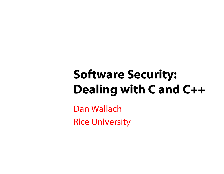# Software Security: Dealing with C and C++

Dan WallachRice University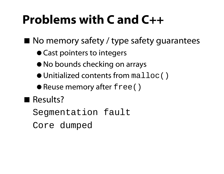## Problems with C and C++

- No memory safety / type safety quarantees
	- Cast pointers to integers
	- No bounds checking on arrays
	- $\bullet$  Unitialized contents from  $\texttt{mallow}(\ )$
	- Reuse memory after free()

Results?

Segmentation fault

Core dumped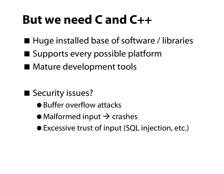### But we need C and C++

- Huge installed base of software / libraries
- Supports every possible platform
- **Mature development tools**

- Security issues?
	- Buffer overflow attacks
	- $\bullet$  Malformed input  $\rightarrow$  crashes
	- Excessive trust of input (SQL injection, etc.)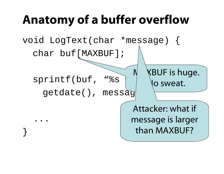## Anatomy of a buffer overflow

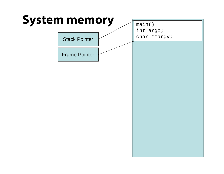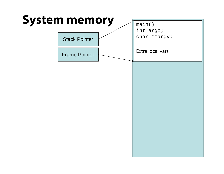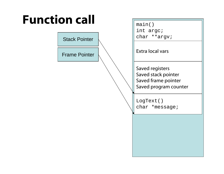# Function call Function

|                      | $\text{max}$<br>int argc;                                                              |
|----------------------|----------------------------------------------------------------------------------------|
| <b>Stack Pointer</b> | char **argv;                                                                           |
| <b>Frame Pointer</b> | <b>Extra local vars</b>                                                                |
|                      | Saved registers<br>Saved stack pointer<br>Saved frame pointer<br>Saved program counter |
|                      | LogText()<br>char *message;                                                            |
|                      |                                                                                        |
|                      |                                                                                        |
|                      |                                                                                        |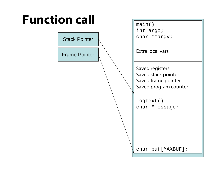| <b>Function call</b> | main()<br>int argc;                                                                    |  |
|----------------------|----------------------------------------------------------------------------------------|--|
| <b>Stack Pointer</b> | char **argv;                                                                           |  |
| <b>Frame Pointer</b> | Extra local vars                                                                       |  |
|                      | Saved registers<br>Saved stack pointer<br>Saved frame pointer<br>Saved program counter |  |
|                      | LogText()<br>char *message;                                                            |  |
|                      |                                                                                        |  |
|                      | char buf [MAXBUF];                                                                     |  |
|                      |                                                                                        |  |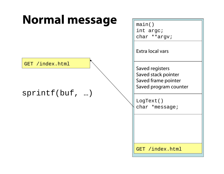### Normal message  $\sqrt{\frac{m}{\text{main}(n)}}$

GET /index.html

#### sprintf(buf, …)

int argc; char \*\*argv;

Extra local vars

Saved registers Saved stack pointer Saved frame pointer Saved program counter

LogText() char \*message;

GET /index.html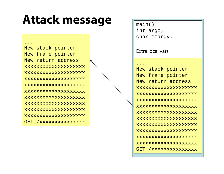### **Attack message**

New stack pointer New frame pointer New return addressxxxxxxxxxxxxxxxxxxxxxxxxxxxxxxxxxxxxxxxxxxxxxxxxxxxxxxxxxxxxxxxxxxxxxxxxxxxxxxxxxxxxxxxxxxxxxxxxxxxxxxxxxxxxxxxxxxxxxxxxxxxxxxxxxxxxxxxxxxxxxxxxxxxxxxxxxxxxxxxxxxxxxxxxxxxxxxxxxxxxGET /xxxxxxxxxxxxxxx

...

| maın()    |              |
|-----------|--------------|
| int argc; |              |
|           | char **argv; |

#### Extra local vars

...

New stack pointer New frame pointer New return address xxxxxxxxxxxxxxxxx LogText() xxxxxxxxxxxxxxxxxxxxxxxxxxxxxxxxxxxxxxxx GET /xxxxxxxxxxxxxx xxxxxxxxxxxxxxxxxxxxxxxxxxxxxxxxxxxxxxxxxxxxxxxxxxxxxxxxxxxxxxxxxxxxxxxxxxxxxxxxxxxxxxxxxxxxxxxxxxxxxxxxxxxxxxxxxxxxxxxxxxxxxxxxxxxxxxxxxxxx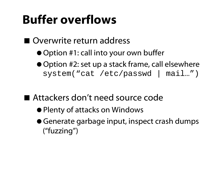## Buffer overflows

#### ■ Overwrite return address

- Option #1: call into your own buffer
- Option #2: set up a stack frame, call elsewhere system("cat /etc/passwd | mail…")
- Attackers don't need source code
	- Plenty of attacks on Windows
	- Generate garbage input, inspect crash dumps ("fuzzing")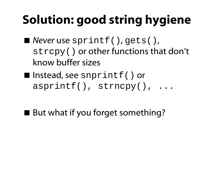# Solution: good string hygiene

- *Never* use sprintf(), gets(), strcpy() or other functions that don't know buffer sizes
- Instead, see snprintf() or asprintf(), strncpy(), ...
- But what if you forget something?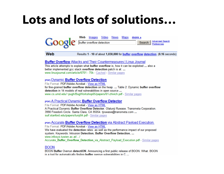#### Lots and lots of solutions…



Web Results 1 - 10 of about 1,030,000 for buffer overflow detection. (0.16 seconds)

#### **Buffer Overflow** Attacks and Their Countermeasures | Linux Journal

This article attempts to explain what buffer overflow is, how it can be exploited ... also a better implemented acc stack overflow detection patch is at: ... www.linuxiournal.com/article/6701 - 75k - Cached - Similar pages

#### **IPDFI Dynamic Buffer Overflow Detection**

File Format: PDF/Adobe Acrobat - View as HTML for fine-grained buffer overflow detection on the heap. ... Table 2: Dynamic buffer overflow detection in 14 models of real vulnerabilities in open source ... www.cs.umd.edu/~puqh/BuqWorkshop05/papers/61-zhivich.pdf - Similar pages

#### **PDFI A Practical Dynamic Buffer Overflow Detector**

File Format: PDF/Adobe Acrobat - View as HTML A Practical Dynamic Buffer Overflow Detector, Olatunji Ruwase, Transmeta Corporation. 3990 Freedom Circle. Santa Clara, CA 95054. tjruwase@transmeta.com ... suif.stanford.edu/papers/tunji04.pdf - Similar pages

#### [PDF] Accurate Buffer Overflow Detection via Abstract Payload Execution.

File Format: PDF/Adobe Acrobat - View as HTML We have evaluated the detection rates, as well as the performance impact of our proposed system. Keywords: Intrusion Detection, Buffer Overflow Detection, ... www.infosys.tuwien.ac.at/.../ Accurate Buffer Overflow Detection via Abstract Payload Execution.pdf - Similar pages

#### **BOON**

BOON Buffer Overrun detectiON. Announcing a first public release of BOON. What. BOON is a tool for automatically finding buffer overrun vulnerabilities in C ...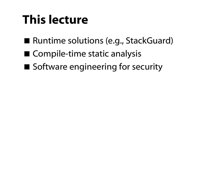## This lecture

- Runtime solutions (e.g., StackGuard)
- Compile-time static analysis
- Software engineering for security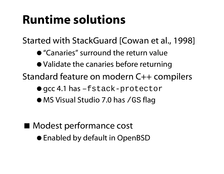## Runtime solutions

Started with StackGuard [Cowan et al., 1998]

- "Canaries" surround the return value
- Validate the canaries before returning
- Standard feature on modern C++ compilers
	- gcc 4.1 has –fstack-protector
	- MS Visual Studio 7.0 has / GS flag

- Modest performance cost
	- Enabled by default in OpenBSD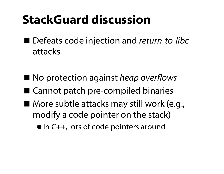### StackGuard discussion

■ Defeats code injection and *return-to-libc* attacks

- No protection against *heap* overflows
- Cannot patch pre-compiled binaries
- More subtle attacks may still work (e.g., modify a code pointer on the stack)
	- In C++, lots of code pointers around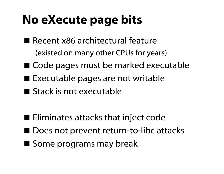# No eXecute page bits

- Recent x86 architectural feature (existed on many other CPUs for years)
- Code pages must be marked executable
- Executable pages are not writable
- **Stack is not executable**

- $\blacksquare$  Eliminates attacks that inject code
- Does not prevent return-to-libc attacks
- Some programs may break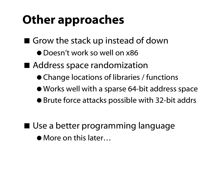# Other approaches

- Grow the stack up instead of down
	- Doesn't work so well on x86
- Address space randomization
	- Change locations of libraries / functions
	- Works well with a sparse 64-bit address space
	- Brute force attacks possible with 32-bit addrs

- Use a better programming language
	- More on this later…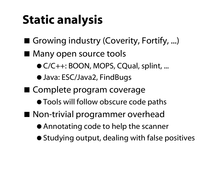# Static analysis

- Growing industry (Coverity, Fortify, ...)
- Many open source tools
	- C/C++: BOON, MOPS, CQual, splint, ...
	- Java: ESC/Java2, FindBugs
- Complete program coverage
	- **Tools will follow obscure code paths**
- Non-trivial programmer overhead
	- Annotating code to help the scanner
	- Studying output, dealing with false positives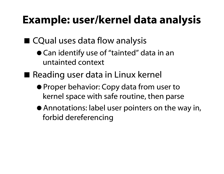#### Example: user/kernel data analysis

#### ■ CQual uses data flow analysis

- Can identify use of "tainted" data in an untainted context
- Reading user data in Linux kernel
	- Proper behavior: Copy data from user to kernel space with safe routine, then parse
	- Annotations: label user pointers on the way in, forbid dereferencing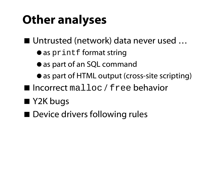# Other analyses

■ Untrusted (network) data never used ...

- $\bullet$  as printf format string
- $\bullet$  as part of an SQL command
- as part of HTML output (cross-site scripting)
- $\blacksquare$  Incorrect  $\texttt{malloc}$  / free behavior
- Y2K bugs
- Device drivers following rules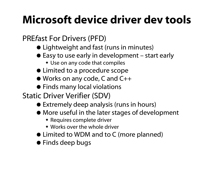#### Microsoft device driver dev tools

#### PRE *f*ast For Drivers (PFD)

- Lightweight and fast (runs in minutes)
- $\bullet$  Easy to use early in development start early
	- Use on any code that compiles
- $\bullet$  Limited to a procedure scope
- Works on any code, C and C++
- Finds many local violations
- Static Driver Verifier (SDV)
	- Extremely deep analysis (runs in hours)
	- More useful in the later stages of development
		- **\*** Requires complete driver
		- Works over the whole driver
	- Limited to WDM and to C (more planned)
	- Finds deep bugs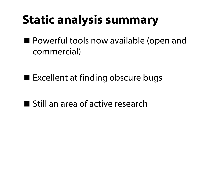# Static analysis summary

■ Powerful tools now available (open and commercial)

■ Excellent at finding obscure bugs

**Still an area of active research**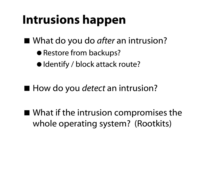## Intrusions happen

■ What do you do *after* an intrusion?

- Restore from backups?
- Identify / block attack route?
- How do you *detect* an intrusion?
- What if the intrusion compromises the whole operating system? (Rootkits)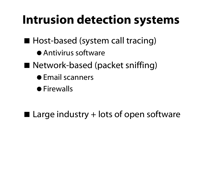### Intrusion detection systems

- Host-based (system call tracing)
	- Antivirus software
- Network-based (packet sniffing)
	- **•** Email scanners
	- **•** Firewalls

 $\blacksquare$  Large industry + lots of open software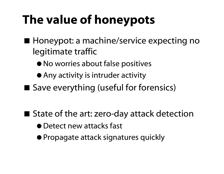# The value of honeypots

- Honeypot: a machine/service expecting no legitimate traffic
	- No worries about false positives
	- Any activity is intruder activity
- Save everything (useful for forensics)

- State of the art: zero-day attack detection
	- Detect new attacks fast
	- Propagate attack signatures quickly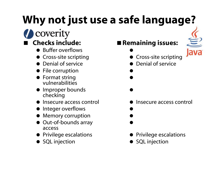# Why not just use a safe language?

#### coverity Checks include:

- Buffer overflows
- **Cross-site scripting**
- Denial of service
- **•** File corruption
- **•** Format string vulnerabilities
- **Improper bounds** checking
- Insecure access control
- Integer overflows
- Memory corruption
- Out-of-bounds array access
- **•** Privilege escalations
- **SQL** injection

#### **Remaining issues:**

 $\bullet$ **•** Cross-site scripting

 $\bullet$ 

 $\bullet$ 

 $\bullet$ 

Denial of service



- Insecure access control
	- $\bullet$  $\bullet$
- $\bullet$
- Privilege escalations
- **SQL** injection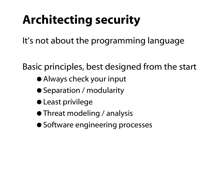# Architecting security

It's not about the programming language

Basic principles, best designed from the start

- Always check your input
- Separation / modularity
- Least privilege
- **Threat modeling / analysis**
- $\bullet$  **Software engineering processes**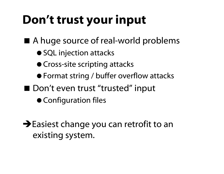# Don't trust your input

■ A huge source of real-world problems

- SQL injection attacks
- Cross-site scripting attacks
- Format string / buffer overflow attacks
- Don't even trust "trusted" input
	- Configuration files

 $\rightarrow$  Easiest change you can retrofit to an existing system.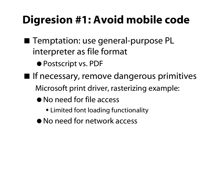#### Digresion #1: Avoid mobile code

- Temptation: use general-purpose PL interpreter as file format
	- Postscript vs. PDF
- **If necessary, remove dangerous primitives** Microsoft print driver, rasterizing example:
	- No need for file access
		- Limited font loading functionality
	- No need for network access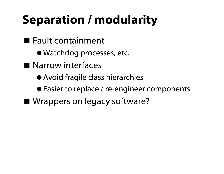# Separation / modularity

- Fault containment
	- Watchdog processes, etc.
- **Narrow interfaces** 
	- Avoid fragile class hierarchies
	- Easier to replace / re-engineer components
- Wrappers on legacy software?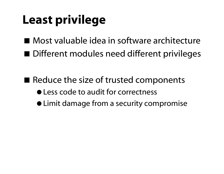# Least privilege

■ Most valuable idea in software architecture ■ Different modules need different privileges

- $\blacksquare$  Reduce the size of trusted components
	- $\bullet$  Less code to audit for correctness
	- Limit damage from a security compromise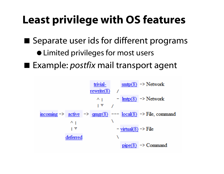#### Least privilege with OS features

■ Separate user ids for different programs

- Limited privileges for most u sers
- Example: *postfix* mail transport agent

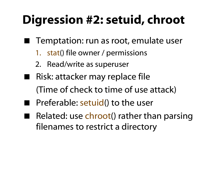# Digression #2: setuid, chroot

- Temptation: run as root, emulate user
	- 1. stat() file owner / permissions
	- 2. Read/write as superuser
- Risk: attacker may replace file (Time of check to time of use attack)
- **Preferable: setuid() to the user**
- ٠ Related: use chroot() rather than parsing filenames to restrict a directory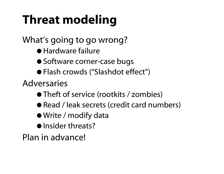# Threat modeling

What's going to go wrong?

- Hardware failure
- Software corner-case bugs
- Flash crowds ("Slashdot effect")

Adversaries

- Theft of service (rootkits / zombies)
- Read / leak secrets (credit card numbers)
- Write / modify data
- Insider threats?

Plan in advance!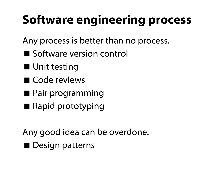# Software engineering process

Any process is better than no process.

- Software version control
- Unit testing
- Code reviews
- Pair programming
- Rapid prototyping

Any good idea can be overdone. **Design patterns**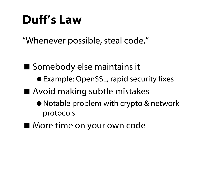#### Duff's Law

"Whenever possible, steal code."

■ Somebody else maintains it

- Example: OpenSSL, rapid security fixes
- Avoid making subtle mistakes
	- Notable problem with crypto & network protocols
- More time on your own code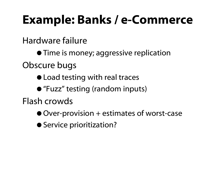### Example: Banks / e-Commerce

Hardware failure

**• Time is money; aggressive replication** 

Obscure bugs

- Load testing with real traces
- "Fuzz" testing (random inputs)

Flash crowds

- Over-provision + estimates of worst-case
- $\bullet$  **Service prioritization?**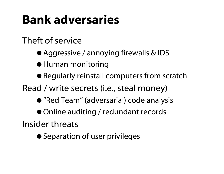## Bank adversaries

#### Theft of service

- Aggressive / annoying firewalls & IDS
- Human monitoring
- Regularly reinstall computers from scratch
- Read / write secrets (i.e., steal money)
	- "Red Team" (adversarial) code analysis
	- Online auditing / redundant records

Insider threats

**• Separation of user privileges**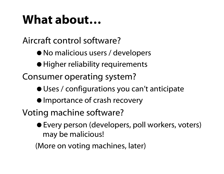### What about…

Aircraft control software?

- No malicious users / developers
- Higher reliability requirements

Consumer operating system?

- Uses / configurations you can't anticipate
- $\bullet$  Importance of crash recovery

Voting machine software?

 Every person (developers, poll workers, voters) may be malicious!

(More on voting machines, later)